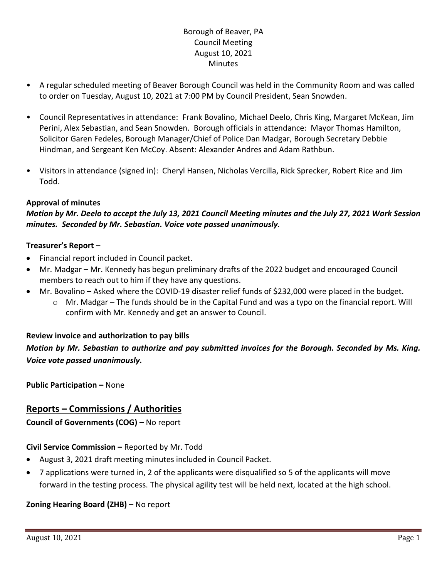## Borough of Beaver, PA Council Meeting August 10, 2021 **Minutes**

- A regular scheduled meeting of Beaver Borough Council was held in the Community Room and was called to order on Tuesday, August 10, 2021 at 7:00 PM by Council President, Sean Snowden.
- Council Representatives in attendance: Frank Bovalino, Michael Deelo, Chris King, Margaret McKean, Jim Perini, Alex Sebastian, and Sean Snowden. Borough officials in attendance: Mayor Thomas Hamilton, Solicitor Garen Fedeles, Borough Manager/Chief of Police Dan Madgar, Borough Secretary Debbie Hindman, and Sergeant Ken McCoy. Absent: Alexander Andres and Adam Rathbun.
- Visitors in attendance (signed in): Cheryl Hansen, Nicholas Vercilla, Rick Sprecker, Robert Rice and Jim Todd.

### **Approval of minutes**

*Motion by Mr. Deelo to accept the July 13, 2021 Council Meeting minutes and the July 27, 2021 Work Session minutes. Seconded by Mr. Sebastian. Voice vote passed unanimously.*

### **Treasurer's Report –**

- Financial report included in Council packet.
- Mr. Madgar Mr. Kennedy has begun preliminary drafts of the 2022 budget and encouraged Council members to reach out to him if they have any questions.
- Mr. Bovalino Asked where the COVID-19 disaster relief funds of \$232,000 were placed in the budget.
	- $\circ$  Mr. Madgar The funds should be in the Capital Fund and was a typo on the financial report. Will confirm with Mr. Kennedy and get an answer to Council.

## **Review invoice and authorization to pay bills**

*Motion by Mr. Sebastian to authorize and pay submitted invoices for the Borough. Seconded by Ms. King. Voice vote passed unanimously.*

**Public Participation –** None

# **Reports – Commissions / Authorities**

**Council of Governments (COG) –** No report

## **Civil Service Commission –** Reported by Mr. Todd

- August 3, 2021 draft meeting minutes included in Council Packet.
- 7 applications were turned in, 2 of the applicants were disqualified so 5 of the applicants will move forward in the testing process. The physical agility test will be held next, located at the high school.

### **Zoning Hearing Board (ZHB) –** No report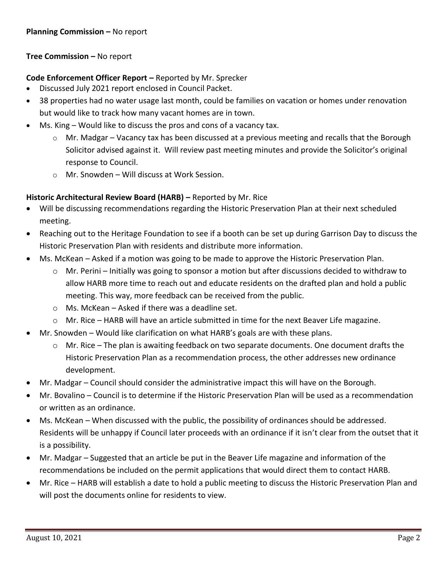### **Tree Commission –** No report

#### **Code Enforcement Officer Report –** Reported by Mr. Sprecker

- Discussed July 2021 report enclosed in Council Packet.
- 38 properties had no water usage last month, could be families on vacation or homes under renovation but would like to track how many vacant homes are in town.
- Ms. King Would like to discuss the pros and cons of a vacancy tax.
	- $\circ$  Mr. Madgar Vacancy tax has been discussed at a previous meeting and recalls that the Borough Solicitor advised against it. Will review past meeting minutes and provide the Solicitor's original response to Council.
	- o Mr. Snowden Will discuss at Work Session.

#### **Historic Architectural Review Board (HARB) –** Reported by Mr. Rice

- Will be discussing recommendations regarding the Historic Preservation Plan at their next scheduled meeting.
- Reaching out to the Heritage Foundation to see if a booth can be set up during Garrison Day to discuss the Historic Preservation Plan with residents and distribute more information.
- Ms. McKean Asked if a motion was going to be made to approve the Historic Preservation Plan.
	- $\circ$  Mr. Perini Initially was going to sponsor a motion but after discussions decided to withdraw to allow HARB more time to reach out and educate residents on the drafted plan and hold a public meeting. This way, more feedback can be received from the public.
	- $\circ$  Ms. McKean Asked if there was a deadline set.
	- $\circ$  Mr. Rice HARB will have an article submitted in time for the next Beaver Life magazine.
- Mr. Snowden Would like clarification on what HARB's goals are with these plans.
	- o Mr. Rice The plan is awaiting feedback on two separate documents. One document drafts the Historic Preservation Plan as a recommendation process, the other addresses new ordinance development.
- Mr. Madgar Council should consider the administrative impact this will have on the Borough.
- Mr. Bovalino Council is to determine if the Historic Preservation Plan will be used as a recommendation or written as an ordinance.
- Ms. McKean When discussed with the public, the possibility of ordinances should be addressed. Residents will be unhappy if Council later proceeds with an ordinance if it isn't clear from the outset that it is a possibility.
- Mr. Madgar Suggested that an article be put in the Beaver Life magazine and information of the recommendations be included on the permit applications that would direct them to contact HARB.
- Mr. Rice HARB will establish a date to hold a public meeting to discuss the Historic Preservation Plan and will post the documents online for residents to view.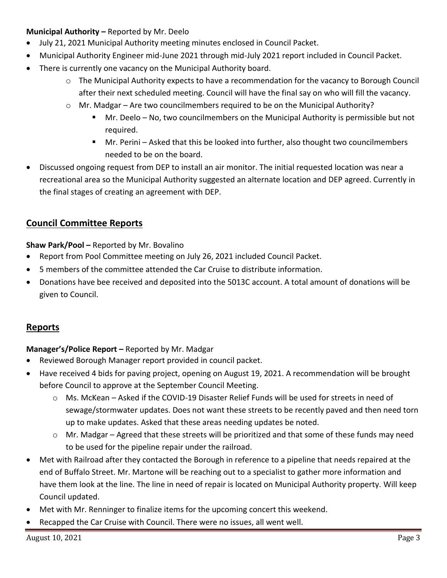### **Municipal Authority –** Reported by Mr. Deelo

- July 21, 2021 Municipal Authority meeting minutes enclosed in Council Packet.
- Municipal Authority Engineer mid-June 2021 through mid-July 2021 report included in Council Packet.
- There is currently one vacancy on the Municipal Authority board.
	- $\circ$  The Municipal Authority expects to have a recommendation for the vacancy to Borough Council after their next scheduled meeting. Council will have the final say on who will fill the vacancy.
	- $\circ$  Mr. Madgar Are two councilmembers required to be on the Municipal Authority?
		- Mr. Deelo No, two councilmembers on the Municipal Authority is permissible but not required.
		- Mr. Perini Asked that this be looked into further, also thought two councilmembers needed to be on the board.
- Discussed ongoing request from DEP to install an air monitor. The initial requested location was near a recreational area so the Municipal Authority suggested an alternate location and DEP agreed. Currently in the final stages of creating an agreement with DEP.

# **Council Committee Reports**

**Shaw Park/Pool –** Reported by Mr. Bovalino

- Report from Pool Committee meeting on July 26, 2021 included Council Packet.
- 5 members of the committee attended the Car Cruise to distribute information.
- Donations have bee received and deposited into the 5013C account. A total amount of donations will be given to Council.

# **Reports**

### **Manager's/Police Report –** Reported by Mr. Madgar

- Reviewed Borough Manager report provided in council packet.
- Have received 4 bids for paving project, opening on August 19, 2021. A recommendation will be brought before Council to approve at the September Council Meeting.
	- $\circ$  Ms. McKean Asked if the COVID-19 Disaster Relief Funds will be used for streets in need of sewage/stormwater updates. Does not want these streets to be recently paved and then need torn up to make updates. Asked that these areas needing updates be noted.
	- $\circ$  Mr. Madgar Agreed that these streets will be prioritized and that some of these funds may need to be used for the pipeline repair under the railroad.
- Met with Railroad after they contacted the Borough in reference to a pipeline that needs repaired at the end of Buffalo Street. Mr. Martone will be reaching out to a specialist to gather more information and have them look at the line. The line in need of repair is located on Municipal Authority property. Will keep Council updated.
- Met with Mr. Renninger to finalize items for the upcoming concert this weekend.
- Recapped the Car Cruise with Council. There were no issues, all went well.